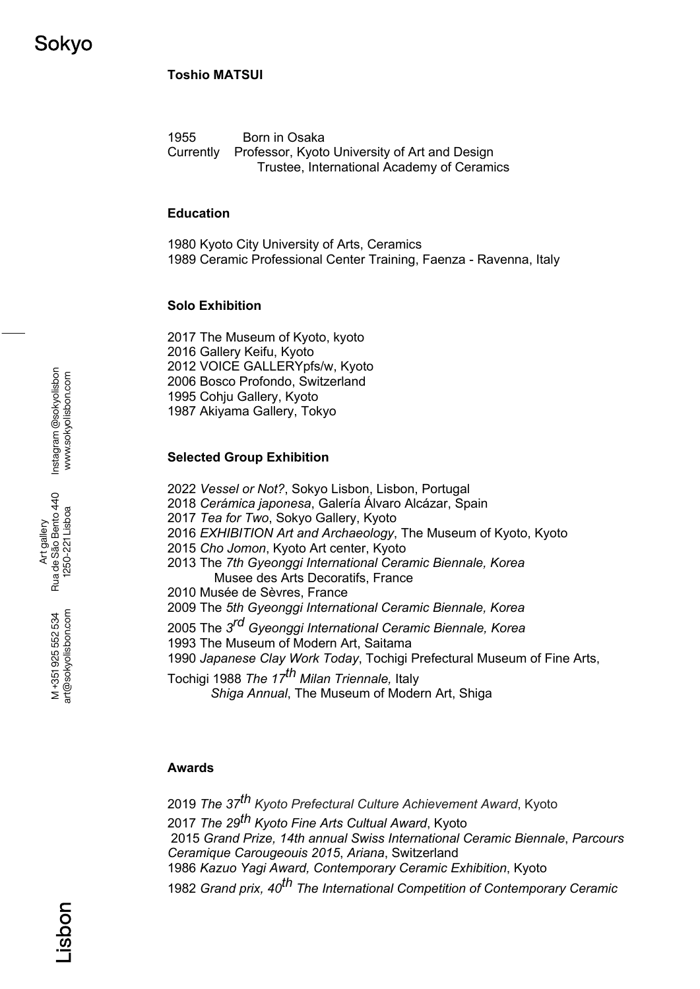# **Toshio MATSUI**

1955 Born in Osaka Currently Professor, Kyoto University of Art and Design Trustee, International Academy of Ceramics

#### **Education**

1980 Kyoto City University of Arts, Ceramics 1989 Ceramic Professional Center Training, Faenza - Ravenna, Italy

#### **Solo Exhibition**

- 2017 The Museum of Kyoto, kyoto
- 2016 Gallery Keifu, Kyoto
- 2012 VOICE GALLERYpfs/w, Kyoto

2006 Bosco Profondo, Switzerland

1995 Cohju Gallery, Kyoto

1987 Akiyama Gallery, Tokyo

## **Selected Group Exhibition**

- 2022 *Vessel or Not?*, Sokyo Lisbon, Lisbon, Portugal
- 2018 *Cerámica japonesa*, Galería Álvaro Alcázar, Spain
- 2017 *Tea for Two*, Sokyo Gallery, Kyoto
- 2016 *EXHIBITION Art and Archaeology*, The Museum of Kyoto, Kyoto
- 2015 *Cho Jomon*, Kyoto Art center, Kyoto
- 2013 The *7th Gyeonggi International Ceramic Biennale, Korea*  Musee des Arts Decoratifs, France
- 2010 Musée de Sèvres, France
- 2009 The *5th Gyeonggi International Ceramic Biennale, Korea*
- 2005 The *3rd Gyeonggi International Ceramic Biennale, Korea*
- 1993 The Museum of Modern Art, Saitama
- 1990 *Japanese Clay Work Today*, Tochigi Prefectural Museum of Fine Arts,

Tochigi 1988 *The 17th Milan Triennale,* Italy *Shiga Annual*, The Museum of Modern Art, Shiga

## **Awards**

*The 37th Kyoto Prefectural Culture Achievement Award*, Kyoto *The 29th Kyoto Fine Arts Cultual Award*, Kyoto *Grand Prize, 14th annual Swiss International Ceramic Biennale*, *Parcours Ceramique Carougeouis 2015*, *Ariana*, Switzerland *Kazuo Yagi Award, Contemporary Ceramic Exhibition*, Kyoto *Grand prix, 40th The International Competition of Contemporary Ceramic* 

Art gallery<br>Rua de São Bento 440<br>1250-221 Lisboa Rua de São Bento 440 1250-221 Lisboa

> art@sokyolisbon.com art@sokyolisbon.com M+351925552534 M +351 925 552 534